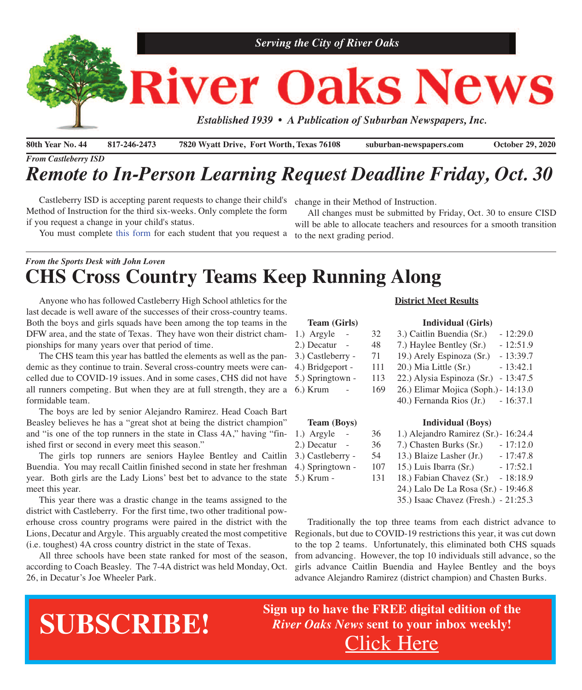

**80th Year No. 44 817-246-2473 7820 Wyatt Drive, Fort Worth, Texas 76108 suburban-newspapers.com October 29, 2020**

*From Castleberry ISD*

## *Remote to In-Person Learning Request Deadline Friday, Oct. 30*

 Castleberry ISD is accepting parent requests to change their child's Method of Instruction for the third six-weeks. Only complete the form if you request a change in your child's status.

You must complete this [form](https://docs.google.com/forms/d/e/1FAIpQLSc8DD8l6GY0nhhICd6PMaAsKMwNuoCOTmP8ZlQXd5N12JHCQw/viewform?fbclid=IwAR1I2C1xN3jC1mFGRv6i21cR3IQo9HI3_fOpiK04LaRMjYLWT9SQkVe_-GY) for each student that you request a

change in their Method of Instruction.

 All changes must be submitted by Friday, Oct. 30 to ensure CISD will be able to allocate teachers and resources for a smooth transition to the next grading period.

## *From the Sports Desk with John Loven* **CHS Cross Country Teams Keep Running Along**

 Anyone who has followed Castleberry High School athletics for the last decade is well aware of the successes of their cross-country teams. Both the boys and girls squads have been among the top teams in the DFW area, and the state of Texas. They have won their district championships for many years over that period of time.

 The CHS team this year has battled the elements as well as the pandemic as they continue to train. Several cross-country meets were cancelled due to COVID-19 issues. And in some cases, CHS did not have all runners competing. But when they are at full strength, they are a 6.) Krum formidable team.

 The boys are led by senior Alejandro Ramirez. Head Coach Bart Beasley believes he has a "great shot at being the district champion" and "is one of the top runners in the state in Class 4A," having "finished first or second in every meet this season."

The girls top runners are seniors Haylee Bentley and Caitlin 3.) C Buendia. You may recall Caitlin finished second in state her freshman 4.) S year. Both girls are the Lady Lions' best bet to advance to the state 5.) K meet this year.

 This year there was a drastic change in the teams assigned to the district with Castleberry. For the first time, two other traditional powerhouse cross country programs were paired in the district with the Lions, Decatur and Argyle. This arguably created the most competitive (i.e. toughest) 4A cross country district in the state of Texas.

 All three schools have been state ranked for most of the season, according to Coach Beasley. The 7-4A district was held Monday, Oct. 26, in Decatur's Joe Wheeler Park.

#### **District Meet Results**

#### **Team (Girls) Individual (Girls)**

- 1.) Argyle 32 3.) Caitlin Buendia (Sr.) 12:29.0 2.) Decatur - 48 7.) Haylee Bentley (Sr.) - 12:51.9 3.) Castleberry - 71 19.) Arely Espinoza (Sr.) - 13:39.7
- 4.) Bridgeport 111 20.) Mia Little (Sr.) 13:42.1
	- 113 22.) Alysia Espinoza (Sr.) 13:47.5
	- 169 26.) Elimar Mojica (Soph.) 14:13.0
		- 40.) Fernanda Rios (Jr.) 16:37.1

| <b>Team (Boys)</b> | <b>Individual</b> (Boys) |  |
|--------------------|--------------------------|--|
|                    |                          |  |

| 1.) Argyle        | 36  | 1.) Alejandro Ramirez (Sr.) - 16:24.4  |
|-------------------|-----|----------------------------------------|
| 2.) Decatur       | 36  | 7.) Chasten Burks (Sr.)<br>$-17:12.0$  |
| 3.) Castleberry - | 54  | 13.) Blaize Lasher (Jr.)<br>$-17:47.8$ |
| 4.) Springtown -  | 107 | 15.) Luis Ibarra (Sr.)<br>$-17:52.1$   |
| 5.) Krum -        | 131 | 18.) Fabian Chavez (Sr.)<br>$-18:18.9$ |
|                   |     | 24.) Lalo De La Rosa (Sr.) - 19:46.8   |
|                   |     | 35.) Isaac Chavez (Fresh.) - 21:25.3   |
|                   |     |                                        |

 Traditionally the top three teams from each district advance to Regionals, but due to COVID-19 restrictions this year, it was cut down to the top 2 teams. Unfortunately, this eliminated both CHS squads from advancing. However, the top 10 individuals still advance, so the girls advance Caitlin Buendia and Haylee Bentley and the boys advance Alejandro Ramirez (district champion) and Chasten Burks.

# **SUBSCRIBE!**

**Sign up to have the FREE digital edition of the** *River Oaks News* **sent to your inbox weekly!** [Click](http://eepurl.com/g3m8OX) Here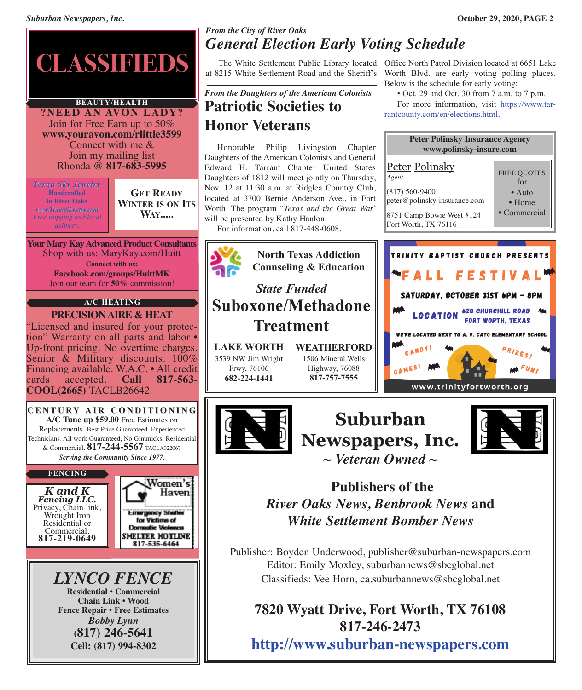

### **BEAUTY/HEALTH**

**?NEED AN AVON LADY?** Join for Free Earn up to 50% **www.youravon.com/rlittle3599** Connect with me & Join my mailing list Rhonda @ **817-683-5995**

*Texan Sky Jewelry* **Handcrafted in River Oaks** *www.TexanSky.etsy.com Free shipping and local delivery.*

**GET READY WINTER IS ON ITS WAY.....**

**Your Mary Kay Advanced Product Consultants** Shop with us: MaryKay.com/Huitt **Connect with us: Facebook.com/groups/HuittMK** Join our team for **50%** commission!

#### **A/C HEATING**

**PRECISIONAIRE & HEAT** "Licensed and insured for your protection" Warranty on all parts and labor •<br>Up-front pricing. No overtime charges. Senior  $\&$  Military discounts. 100% Financing available. W.A.C. • All credit cards accepted. **Call 817-563- COOL(2665)** TACLB26642



*K and K* Privacy, Chain link, Wrought Iron Residential or<br>Commercial. Commercial. **817-219-0649**





## *From the City of River Oaks General Election Early Voting Schedule*

at 8215 White Settlement Road and the Sheriff's

## *From the Daughters of the American Colonists* **Patriotic Societies to Honor Veterans**

 Honorable Philip Livingston Chapter Daughters of the American Colonists and General Edward H. Tarrant Chapter United States Daughters of 1812 will meet jointly on Thursday, Nov. 12 at 11:30 a.m. at Ridglea Country Club, located at 3700 Bernie Anderson Ave., in Fort Worth. The program "*Texas and the Great War*' will be presented by Kathy Hanlon.

For information, call 817-448-0608.



**817-246-2473 <http://www.suburban-newspapers.com>**

 The White Settlement Public Library located Office North Patrol Division located at 6651 Lake Worth Blvd. are early voting polling places. Below is the schedule for early voting:

• Oct. 29 and Oct. 30 from 7 a.m. to 7 p.m.

 For more information, visit [https://www.tar](https://www.tarrantcounty.com/en/elections.html)[rantcounty.com/en/elections.html.](https://www.tarrantcounty.com/en/elections.html)

| <b>Peter Polinsky Insurance Agency</b><br>www.polinsky-insure.com                                                                                                                                            |                                                                             |  |  |  |
|--------------------------------------------------------------------------------------------------------------------------------------------------------------------------------------------------------------|-----------------------------------------------------------------------------|--|--|--|
| <u>Peter Polinsky</u><br>Agent<br>$(817) 560 - 9400$<br>peter@polinsky-insurance.com<br>8751 Camp Bowie West #124<br>Fort Worth, TX 76116                                                                    | <b>FREE QUOTES</b><br>for<br>$\bullet$ Auto<br>$\bullet$ Home<br>Commercial |  |  |  |
| TRINITY BAPTIST CHURCH PRESENTS<br>"FALL FESTIVAL<br>SATURDAY, OCTOBER 31ST 6PM - 8PM<br><b>LOCATION</b><br>WE'RE LOCATED NEXT TO A. V. CATO ELEMENTARY SCHOOL<br>CAND<br>GAMESI<br>www.trinityfortworth.org | <b>620 CHURCHILL ROAD</b><br><b>FORT WORTH, TEXAS</b>                       |  |  |  |
|                                                                                                                                                                                                              |                                                                             |  |  |  |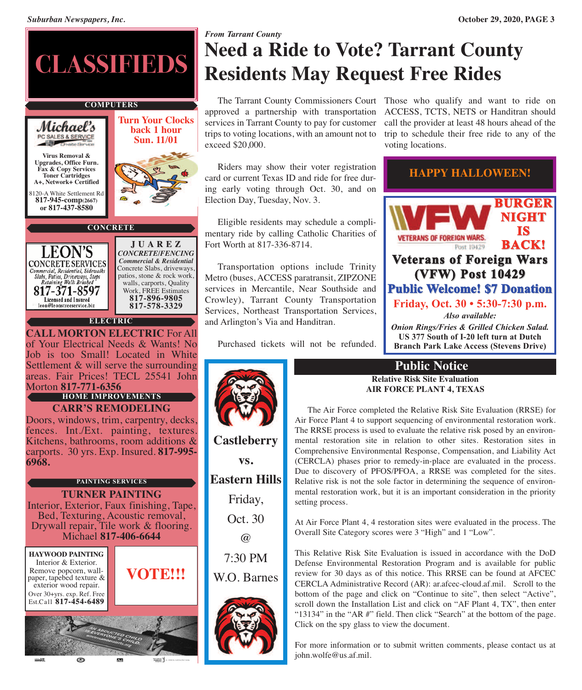

WEER J

## *From Tarrant County* **Need a Ride to Vote? Tarrant County Residents May Request Free Rides**

approved a partnership with transportation services in Tarrant County to pay for customer trips to voting locations, with an amount not to exceed \$20,000.

 Riders may show their voter registration card or current Texas ID and ride for free during early voting through Oct. 30, and on Election Day, Tuesday, Nov. 3.

 Eligible residents may schedule a complimentary ride by calling Catholic Charities of Fort Worth at 817-336-8714.

 Transportation options include Trinity Metro (buses, ACCESS paratransit, ZIPZONE services in Mercantile, Near Southside and Crowley), Tarrant County Transportation Services, Northeast Transportation Services, and Arlington's Via and Handitran.

Purchased tickets will not be refunded.

**vs.**

@





## **Public Notice**

#### **Relative Risk Site Evaluation AIR FORCE PLANT 4, TEXAS**

 The Air Force completed the Relative Risk Site Evaluation (RRSE) for Air Force Plant 4 to support sequencing of environmental restoration work. The RRSE process is used to evaluate the relative risk posed by an environmental restoration site in relation to other sites. Restoration sites in Comprehensive Environmental Response, Compensation, and Liability Act (CERCLA) phases prior to remedy-in-place are evaluated in the process. Due to discovery of PFOS/PFOA, a RRSE was completed for the sites. Relative risk is not the sole factor in determining the sequence of environmental restoration work, but it is an important consideration in the priority setting process.

At Air Force Plant 4, 4 restoration sites were evaluated in the process. The Overall Site Category scores were 3 "High" and 1 "Low".

This Relative Risk Site Evaluation is issued in accordance with the DoD Defense Environmental Restoration Program and is available for public review for 30 days as of this notice. This RRSE can be found at AFCEC CERCLA Administrative Record (AR): ar.afcec-cloud.af.mil. Scroll to the bottom of the page and click on "Continue to site", then select "Active", scroll down the Installation List and click on "AF Plant 4, TX", then enter "13134" in the "AR #" field. Then click "Search" at the bottom of the page. Click on the spy glass to view the document.

For more information or to submit written comments, please contact us at john.wolfe@us.af.mil.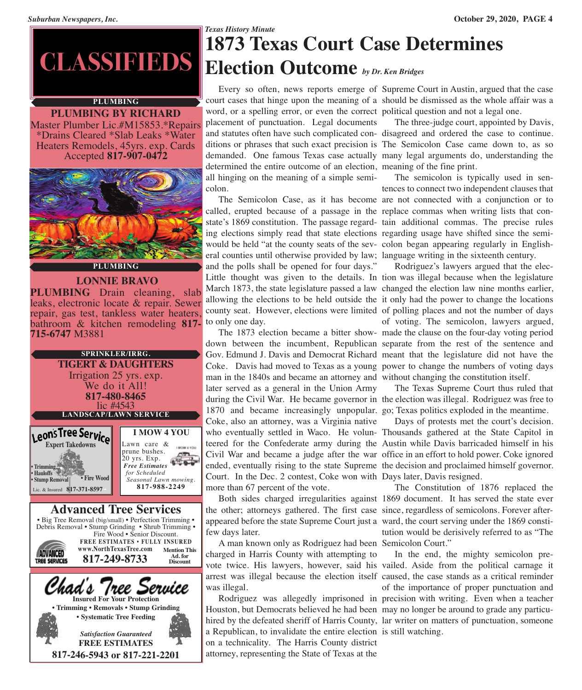### **PLUMBING**

**PLUMBING BY RICHARD** Master Plumber Lic.#M15853.\*Repairs \*Drains Cleared \*Slab Leaks \*Water Heaters Remodels, 45yrs. exp. Cards Accepted **817-907-0472**



### **PLUMBING**

**LONNIE BRAVO PLUMBING** Drain cleaning, slab leaks, electronic locate & repair. Sewer repair, gas test, tankless water heaters, repair, gas test, tankless water heaters, bathroom & kitchen remodeling **817- 715-6747** M3881



**FREE ESTIMATES 817-246-5943 or 817-221-2201**

## *Texas History Minute* **1873 Texas Court Case Determines CLASSIFIEDS Election Outcome** *by Dr. Ken Bridges*

word, or a spelling error, or even the correct political question and not a legal one. placement of punctuation. Legal documents and statutes often have such complicated con-disagreed and ordered the case to continue. ditions or phrases that such exact precision is The Semicolon Case came down to, as so demanded. One famous Texas case actually many legal arguments do, understanding the determined the entire outcome of an election, meaning of the fine print. all hinging on the meaning of a simple semicolon.

 The Semicolon Case, as it has become are not connected with a conjunction or to called, erupted because of a passage in the replace commas when writing lists that constate's 1869 constitution. The passage regard-tain additional commas. The precise rules ing elections simply read that state elections regarding usage have shifted since the semiwould be held "at the county seats of the sev-colon began appearing regularly in Englisheral counties until otherwise provided by law; language writing in the sixteenth century. and the polls shall be opened for four days." Little thought was given to the details. In tion was illegal because when the legislature March 1873, the state legislature passed a law changed the election law nine months earlier, allowing the elections to be held outside the it only had the power to change the locations county seat. However, elections were limited of polling places and not the number of days to only one day.

 The 1873 election became a bitter show-made the clause on the four-day voting period down between the incumbent, Republican separate from the rest of the sentence and Gov. Edmund J. Davis and Democrat Richard meant that the legislature did not have the Coke. Davis had moved to Texas as a young power to change the numbers of voting days man in the 1840s and became an attorney and without changing the constitution itself. later served as a general in the Union Army during the Civil War. He became governor in the election was illegal. Rodriguez was free to 1870 and became increasingly unpopular. go; Texas politics exploded in the meantime. Coke, also an attorney, was a Virginia native who eventually settled in Waco. He volun-Thousands gathered at the State Capitol in teered for the Confederate army during the Austin while Davis barricaded himself in his Civil War and became a judge after the war office in an effort to hold power. Coke ignored ended, eventually rising to the state Supreme the decision and proclaimed himself governor. Court. In the Dec. 2 contest, Coke won with Days later, Davis resigned. more than 67 percent of the vote.

 Both sides charged irregularities against 1869 document. It has served the state ever the other; attorneys gathered. The first case since, regardless of semicolons. Forever afterappeared before the state Supreme Court just a ward, the court serving under the 1869 constifew days later.

 A man known only as Rodriguez had been Semicolon Court." charged in Harris County with attempting to vote twice. His lawyers, however, said his vailed. Aside from the political carnage it arrest was illegal because the election itself caused, the case stands as a critical reminder was illegal.

 Rodriguez was allegedly imprisoned in precision with writing. Even when a teacher Houston, but Democrats believed he had been may no longer be around to grade any particuhired by the defeated sheriff of Harris County, lar writer on matters of punctuation, someone a Republican, to invalidate the entire election is still watching. on a technicality. The Harris County district attorney, representing the State of Texas at the

 Every so often, news reports emerge of Supreme Court in Austin, argued that the case court cases that hinge upon the meaning of a should be dismissed as the whole affair was a

The three-judge court, appointed by Davis,

 The semicolon is typically used in sentences to connect two independent clauses that

 Rodriguez's lawyers argued that the elecof voting. The semicolon, lawyers argued,

The Texas Supreme Court thus ruled that

Days of protests met the court's decision.

 The Constitution of 1876 replaced the tution would be derisively referred to as "The

 In the end, the mighty semicolon preof the importance of proper punctuation and